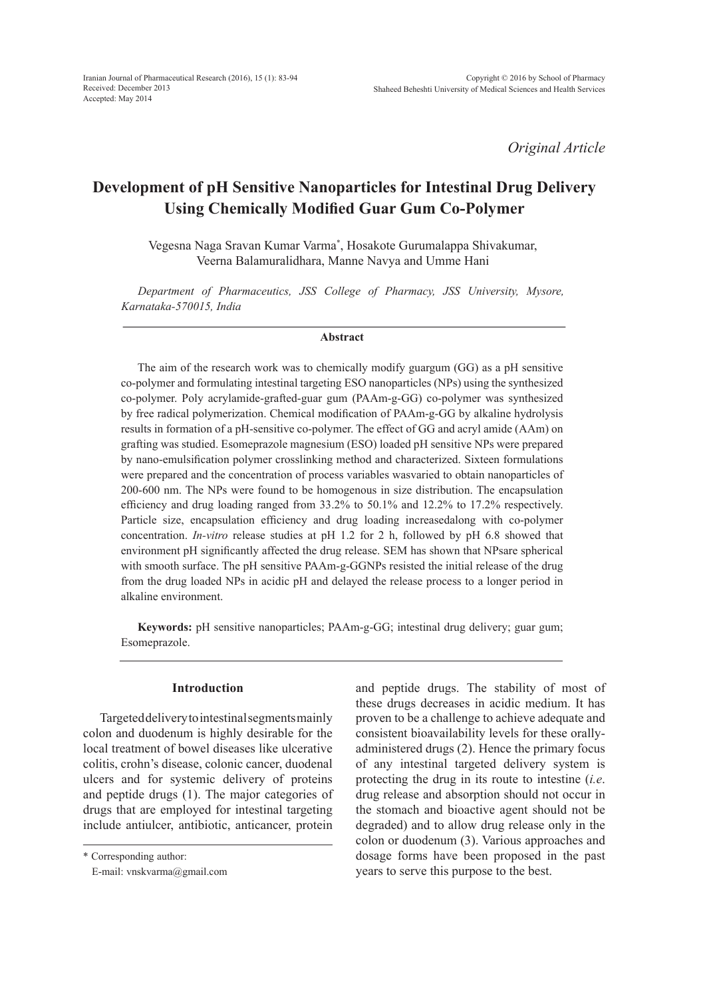*Original Article*

# **Development of pH Sensitive Nanoparticles for Intestinal Drug Delivery Using Chemically Modified Guar Gum Co-Polymer**

Vegesna Naga Sravan Kumar Varma\* , Hosakote Gurumalappa Shivakumar, Veerna Balamuralidhara, Manne Navya and Umme Hani

*Department of Pharmaceutics, JSS College of Pharmacy, JSS University, Mysore, Karnataka-570015, India*

#### **Abstract**

The aim of the research work was to chemically modify guargum (GG) as a pH sensitive co-polymer and formulating intestinal targeting ESO nanoparticles (NPs) using the synthesized co-polymer. Poly acrylamide-grafted-guar gum (PAAm-g-GG) co-polymer was synthesized by free radical polymerization. Chemical modification of PAAm-g-GG by alkaline hydrolysis results in formation of a pH-sensitive co-polymer. The effect of GG and acryl amide (AAm) on grafting was studied. Esomeprazole magnesium (ESO) loaded pH sensitive NPs were prepared by nano-emulsification polymer crosslinking method and characterized. Sixteen formulations were prepared and the concentration of process variables wasvaried to obtain nanoparticles of 200-600 nm. The NPs were found to be homogenous in size distribution. The encapsulation efficiency and drug loading ranged from 33.2% to 50.1% and 12.2% to 17.2% respectively. Particle size, encapsulation efficiency and drug loading increasedalong with co-polymer concentration. *In-vitro* release studies at pH 1.2 for 2 h, followed by pH 6.8 showed that environment pH significantly affected the drug release. SEM has shown that NPsare spherical with smooth surface. The pH sensitive PAAm-g-GGNPs resisted the initial release of the drug from the drug loaded NPs in acidic pH and delayed the release process to a longer period in alkaline environment.

**Keywords:** pH sensitive nanoparticles; PAAm-g-GG; intestinal drug delivery; guar gum; Esomeprazole.

#### **Introduction**

Targeted delivery to intestinal segments mainly colon and duodenum is highly desirable for the local treatment of bowel diseases like ulcerative colitis, crohn's disease, colonic cancer, duodenal ulcers and for systemic delivery of proteins and peptide drugs (1). The major categories of drugs that are employed for intestinal targeting include antiulcer, antibiotic, anticancer, protein and peptide drugs. The stability of most of these drugs decreases in acidic medium. It has proven to be a challenge to achieve adequate and consistent bioavailability levels for these orallyadministered drugs (2). Hence the primary focus of any intestinal targeted delivery system is protecting the drug in its route to intestine (*i.e*. drug release and absorption should not occur in the stomach and bioactive agent should not be degraded) and to allow drug release only in the colon or duodenum (3). Various approaches and dosage forms have been proposed in the past years to serve this purpose to the best.

<sup>\*</sup> Corresponding author:

E-mail: vnskvarma@gmail.com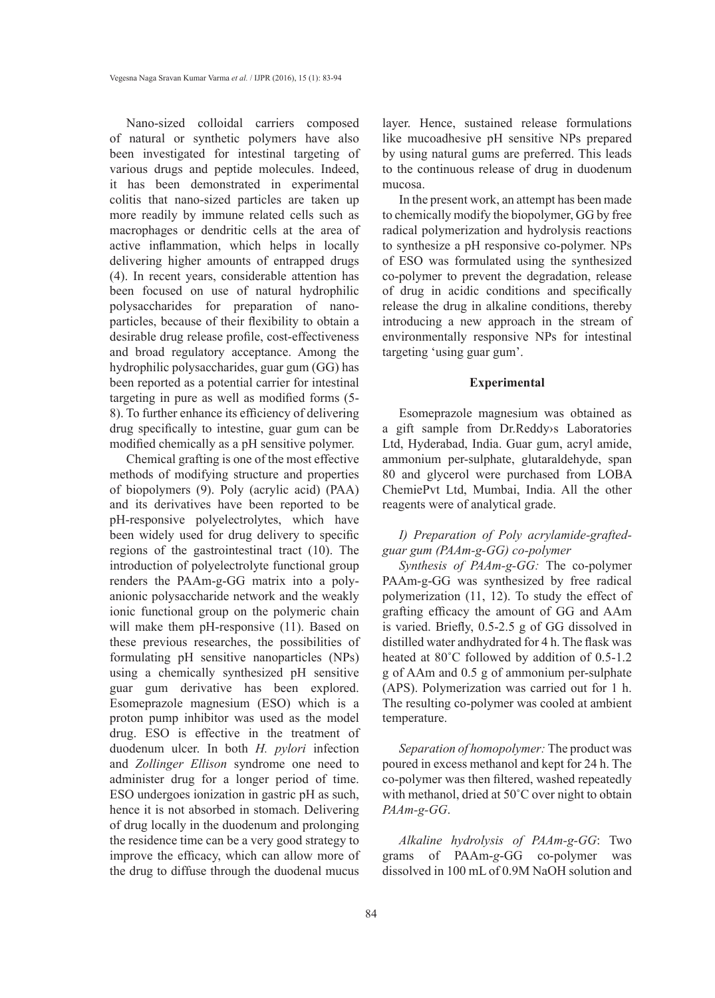Nano-sized colloidal carriers composed of natural or synthetic polymers have also been investigated for intestinal targeting of various drugs and peptide molecules. Indeed, it has been demonstrated in experimental colitis that nano-sized particles are taken up more readily by immune related cells such as macrophages or dendritic cells at the area of active inflammation, which helps in locally delivering higher amounts of entrapped drugs (4). In recent years, considerable attention has been focused on use of natural hydrophilic polysaccharides for preparation of nanoparticles, because of their flexibility to obtain a desirable drug release profile, cost-effectiveness and broad regulatory acceptance. Among the hydrophilic polysaccharides, guar gum (GG) has been reported as a potential carrier for intestinal targeting in pure as well as modified forms (5- 8). To further enhance its efficiency of delivering drug specifically to intestine, guar gum can be modified chemically as a pH sensitive polymer.

Chemical grafting is one of the most effective methods of modifying structure and properties of biopolymers (9). Poly (acrylic acid) (PAA) and its derivatives have been reported to be pH-responsive polyelectrolytes, which have been widely used for drug delivery to specific regions of the gastrointestinal tract (10). The introduction of polyelectrolyte functional group renders the PAAm-g-GG matrix into a polyanionic polysaccharide network and the weakly ionic functional group on the polymeric chain will make them pH-responsive (11). Based on these previous researches, the possibilities of formulating pH sensitive nanoparticles (NPs) using a chemically synthesized pH sensitive guar gum derivative has been explored. Esomeprazole magnesium (ESO) which is a proton pump inhibitor was used as the model drug. ESO is effective in the treatment of duodenum ulcer. In both *H. pylori* infection and *Zollinger Ellison* syndrome one need to administer drug for a longer period of time. ESO undergoes ionization in gastric pH as such, hence it is not absorbed in stomach. Delivering of drug locally in the duodenum and prolonging the residence time can be a very good strategy to improve the efficacy, which can allow more of the drug to diffuse through the duodenal mucus

layer. Hence, sustained release formulations like mucoadhesive pH sensitive NPs prepared by using natural gums are preferred. This leads to the continuous release of drug in duodenum mucosa.

In the present work, an attempt has been made to chemically modify the biopolymer, GG by free radical polymerization and hydrolysis reactions to synthesize a pH responsive co-polymer. NPs of ESO was formulated using the synthesized co-polymer to prevent the degradation, release of drug in acidic conditions and specifically release the drug in alkaline conditions, thereby introducing a new approach in the stream of environmentally responsive NPs for intestinal targeting 'using guar gum'.

# **Experimental**

Esomeprazole magnesium was obtained as a gift sample from Dr.Reddy›s Laboratories Ltd, Hyderabad, India. Guar gum, acryl amide, ammonium per-sulphate, glutaraldehyde, span 80 and glycerol were purchased from LOBA ChemiePvt Ltd, Mumbai, India. All the other reagents were of analytical grade.

# *I) Preparation of Poly acrylamide-graftedguar gum (PAAm-g-GG) co-polymer*

*Synthesis of PAAm-g-GG:* The co-polymer PAAm-g-GG was synthesized by free radical polymerization (11, 12). To study the effect of grafting efficacy the amount of GG and AAm is varied. Briefly, 0.5-2.5 g of GG dissolved in distilled water andhydrated for 4 h. The flask was heated at 80˚C followed by addition of 0.5-1.2 g of AAm and 0.5 g of ammonium per-sulphate (APS). Polymerization was carried out for 1 h. The resulting co-polymer was cooled at ambient temperature.

*Separation of homopolymer:* The product was poured in excess methanol and kept for 24 h. The co-polymer was then filtered, washed repeatedly with methanol, dried at 50°C over night to obtain *PAAm-g-GG*.

*Alkaline hydrolysis of PAAm-g-GG*: Two grams of PAAm-*g*-GG co-polymer was dissolved in 100 mL of 0.9M NaOH solution and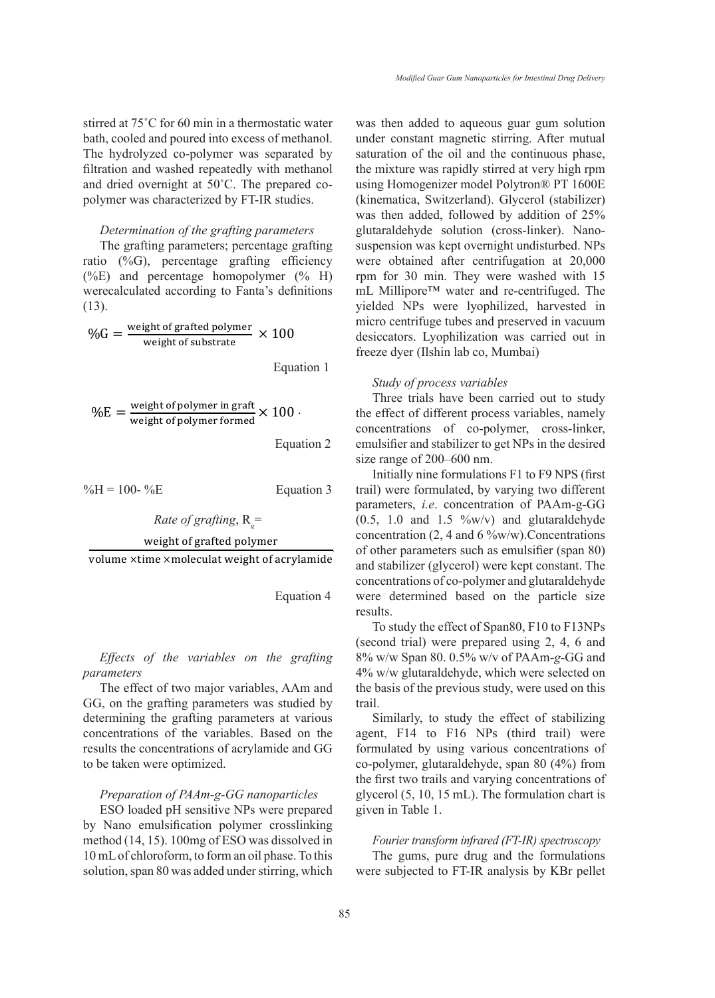stirred at 75°C for 60 min in a thermostatic water was then added to aqueous gu bath, cooled and poured into excess of methanol. under constant magnetic The hydrolyzed co-polymer was separated by saturation of the oil and the co-<br>Characterized over the prepared co-polymer was separated by saturation of the oil and the cofiltration and washed repeatedly with methanol. The mixture was rapidly  $\frac{1}{2}$ and dried overnight at 50˚C. The prepared coand the overlight at 50 °C. The prepared polymer was characterized by FT-IR studies. *Alkaline hydrolysis of PAAm-g-GG*: Two grams of PAAm-*g*-GG co-polymer was dissolved in polymer was characterized by FT-IN studies. (Kinematica, SWItzerland

The grafting parameters; percentage grafting ratio (%G), percentage grafting efficiency were obtained after centrifug<br> $(0/\sqrt{E})$  and percentage homopolymer ( $0/\sqrt{E}$ ), ram for 20 min. They were (%E) and percentage homopolymer (% H) werecalculated according to Fanta's definitions  $\text{mL}$  Millipore<sup>TM</sup> was<br>(13). were  $(13)$ .  $\frac{Dece}{The}$ 

$$
\%G = \frac{\text{weight of grafted polymer}}{\text{weight of substrate}} \times 100
$$

 $Equation 1$ 

$$
\%E = \frac{\text{weight of polymer in graft}}{\text{weight of polymer formed}} \times 100
$$

 Equation 2  $\frac{1}{2}$   $\frac{1}{2}$   $\frac{1}{2}$   $\frac{1}{2}$   $\frac{1}{2}$   $\frac{1}{2}$   $\frac{1}{2}$   $\frac{1}{2}$   $\frac{1}{2}$   $\frac{1}{2}$   $\frac{1}{2}$   $\frac{1}{2}$   $\frac{1}{2}$   $\frac{1}{2}$   $\frac{1}{2}$   $\frac{1}{2}$   $\frac{1}{2}$   $\frac{1}{2}$   $\frac{1}{2}$   $\frac{1}{2}$   $\frac{1}{2}$   $\frac{1}{2}$ 

 $\%H = 100 - \%E$  Equation 3

*Rate of grafting*, Rg=

Rate of graffing, 
$$
R_g
$$
=  
weight of grafted polymer

 $\mathbf{F}$ 

volume  $\times$ time  $\times$ moleculat weight of acrylamide of other para

Equation 4

# *Effects of the variables on the grafting parameters*

The effect of two major variables, AAm and GG, on the grafting parameters was studied by determining the grafting parameters at various concentrations of the variables. Based on the results the concentrations of acrylamide and GG to be taken were optimized.

#### *Preparation of PAAm-g-GG nanoparticles*

ESO loaded pH sensitive NPs were prepared by Nano emulsification polymer crosslinking method (14, 15). 100mg of ESO was dissolved in 10 mL of chloroform, to form an oil phase. To this solution, span 80 was added under stirring, which

*Determination of the grafting parameters* glutaraldehyde solution (cros  $\times$  100 desiccators. Lyophilization was carried out in (13). The grade graphic proposed in the grade graphic vielded NPs were lyophilized, harvested in was then added to aqueous guar gum solution under constant magnetic stirring. After mutual saturation of the oil and the continuous phase, the mixture was rapidly stirred at very high rpm using Homogenizer model Polytron® PT 1600E (kinematica, Switzerland). Glycerol (stabilizer) was then added, followed by addition of 25% glutaraldehyde solution (cross-linker). Nanosuspension was kept overnight undisturbed. NPs were obtained after centrifugation at 20,000 rpm for 30 min. They were washed with 15 mL Millipore™ water and re-centrifuged. The micro centrifuge tubes and preserved in vacuum freeze dyer (Ilshin lab co, Mumbai)

#### $\frac{1}{2}$   $\frac{1}{2}$ *Study of process variables*

Three trials have been carried out to study the effect of different process variables, namely concentrations of co-polymer, cross-linker, emulsifier and stabilizer to get NPs in the desired size range of 200–600 nm.

 --------Equation 4 trail) were formulated, by varying two different Rate of grafting,  $R_g$  =  $(0.5, 1.0 \text{ and } 1.5 \degree\text{w/v})$  and glutaraldehyde Initially nine formulations F1 to F9 NPS (first parameters, *i.e*. concentration of PAAm-g-GG concentration (2, 4 and 6  $\%$ w/w). Concentrations of other parameters such as emulsifier (span 80) and stabilizer (glycerol) were kept constant. The concentrations of co-polymer and glutaraldehyde were determined based on the particle size results.

To study the effect of Span80, F10 to F13NPs (second trial) were prepared using 2, 4, 6 and 8% w/w Span 80. 0.5% w/v of PAAm-*g*-GG and 4% w/w glutaraldehyde, which were selected on the basis of the previous study, were used on this trail.

Similarly, to study the effect of stabilizing agent, F14 to F16 NPs (third trail) were formulated by using various concentrations of co-polymer, glutaraldehyde, span 80 (4%) from the first two trails and varying concentrations of glycerol (5, 10, 15 mL). The formulation chart is given in Table 1.

### *Fourier transform infrared (FT-IR) spectroscopy*

The gums, pure drug and the formulations were subjected to FT-IR analysis by KBr pellet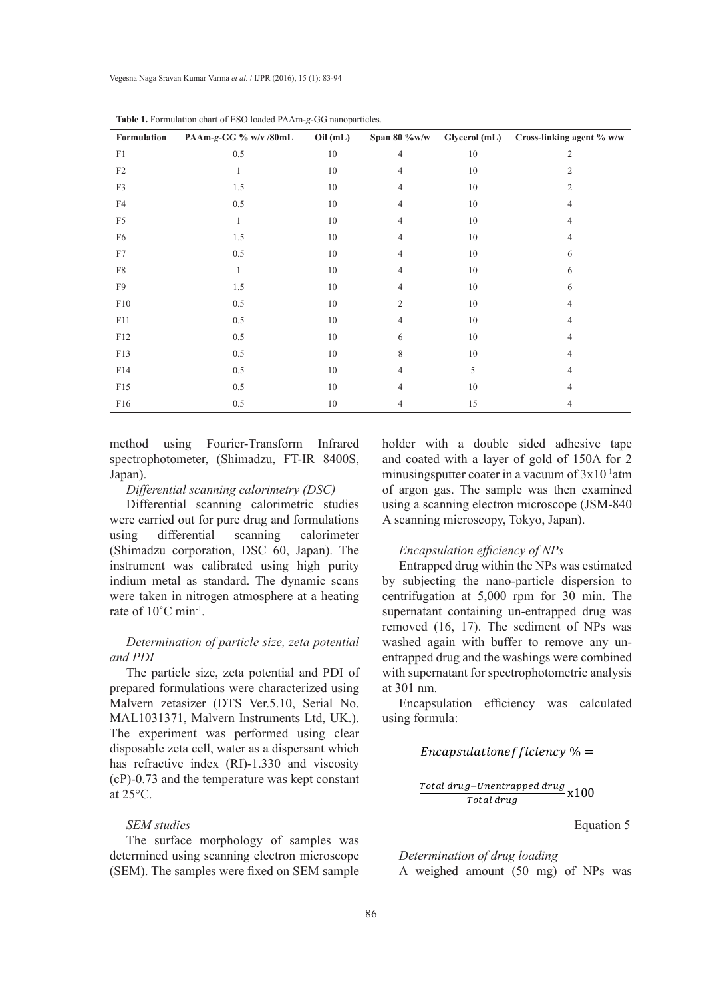| Formulation    | PAAm-g-GG % w/v /80mL | Oil(mL) | Span 80 $\%$ w/w | Glycerol (mL) | Cross-linking agent % w/w |
|----------------|-----------------------|---------|------------------|---------------|---------------------------|
| F1             | 0.5                   | $10\,$  | $\overline{4}$   | 10            | $\overline{2}$            |
| $\rm F2$       |                       | $10\,$  | 4                | $10\,$        | $\overline{2}$            |
| F3             | 1.5                   | $10\,$  | $\overline{4}$   | $10\,$        | 2                         |
| F4             | 0.5                   | $10\,$  | 4                | $10\,$        |                           |
| F <sub>5</sub> |                       | $10\,$  | $\overline{4}$   | $10\,$        |                           |
| F <sub>6</sub> | 1.5                   | $10\,$  | $\overline{4}$   | $10\,$        |                           |
| F7             | 0.5                   | $10\,$  | 4                | $10\,$        | 6                         |
| ${\rm F}8$     |                       | $10\,$  | 4                | $10\,$        | 6                         |
| F9             | 1.5                   | 10      | 4                | $10\,$        | 6                         |
| F10            | 0.5                   | $10\,$  | $\overline{c}$   | $10\,$        |                           |
| F11            | 0.5                   | $10\,$  | 4                | $10\,$        |                           |
| F12            | 0.5                   | $10\,$  | 6                | 10            |                           |
| F13            | 0.5                   | $10\,$  | 8                | $10\,$        |                           |
| F14            | 0.5                   | $10\,$  | 4                | 5             |                           |
| F15            | 0.5                   | $10\,$  | 4                | $10\,$        | 4                         |
| F16            | 0.5                   | $10\,$  | 4                | 15            | 4                         |

**Table 1.** Formulation chart of ESO loaded PAAm-*g*-GG nanoparticles.

method using Fourier-Transform Infrared spectrophotometer, (Shimadzu, FT-IR 8400S, Japan). The sample sample sample  $\mathcal{S}$  sample holder with a double side data double side additional coated with a double side and coated with a double side and coated with a double side and coated with a double side and coated

# *Differential scanning calorimetry (DSC)*

Differential scanning calorimetric studies were carried out for pure drug and formulations<br>using differential scanning calorimeter using differential scanning calorimeter (Shimadzu corporation, DSC 60, Japan). The *Encapsulation*,  $\overline{255}$  or,  $\overline{256}$  or,  $\overline{256}$  or,  $\overline{256}$  or,  $\overline{256}$  or,  $\overline{256}$  or,  $\overline{256}$  or,  $\overline{256}$  or,  $\overline{256}$  or,  $\overline{256}$  or,  $\overline{256}$  or,  $\overline{256}$  or,  $\overline{256}$  or,  $\overline{256}$ indium metal as standard. The dynamic scans were taken in nitrogen atmosphere at a heating rate of  $10^{\circ}$ C min<sup>-1</sup>.

# *Determination of particle size, zeta potential and PDI*

The particle size, zeta potential and PDI of prepared formulations were characterized using Malvern zetasizer (DTS Ver.5.10, Serial No. MAL1031371, Malvern Instruments Ltd, UK.). The experiment was performed using clear disposable zeta cell, water as a dispersant which  $Encapsulation$ has refractive index (RI)-1.330 and viscosity (cP)-0.73 and the temperature was kept constant at 25°C.

# *SEM studies*

The surface morphology of samples was determined using scanning electron microscope (SEM). The samples were fixed on SEM sample

holder with a double sided adhesive tape ometer, (Shimadzu, FT-IR 8400S, and coated with a layer of gold of 150A for 2 minusingsputter coater in a vacuum of 3x10-1atm of argon gas. The sample was then examined da scanning calorimetry (DSC) on algoni gas. The sample was then examined using a scanning calorimetric studies using a scanning electron microscope (JSM-840 A scanning microscopy, Tokyo, Japan).

# *Encapsulation efficiency of NPs*

Entrapped drug within the NPs was estimated by subjecting the nano-particle dispersion to ng centrifugation at 5,000 rpm for 30 min. The  $\frac{1}{2}$  and  $\frac{1}{2}$  and  $\frac{1}{2}$  containing the nano-particle dispersion to  $\frac{1}{2}$  supernatant containing un-entrapped drug was removed  $(16, 17)$ . The sediment of NPs was  $\frac{1}{2}$  action of particle size, zeta potential washed again with buffer to remove any unentrapped drug and the washings were combined icle size, zeta potential and PDI of with supernatant for spectrophotometric analysis at 301 nm.

tasizer (DTS Ver.5.10, Serial No. Encapsulation efficiency was calculated using formula:

# Encapsulationefficiency  $\% =$

 ------- Equation 5

Equation 5

*Determination of drug loading*

A weighed amount (50 mg) of NPs was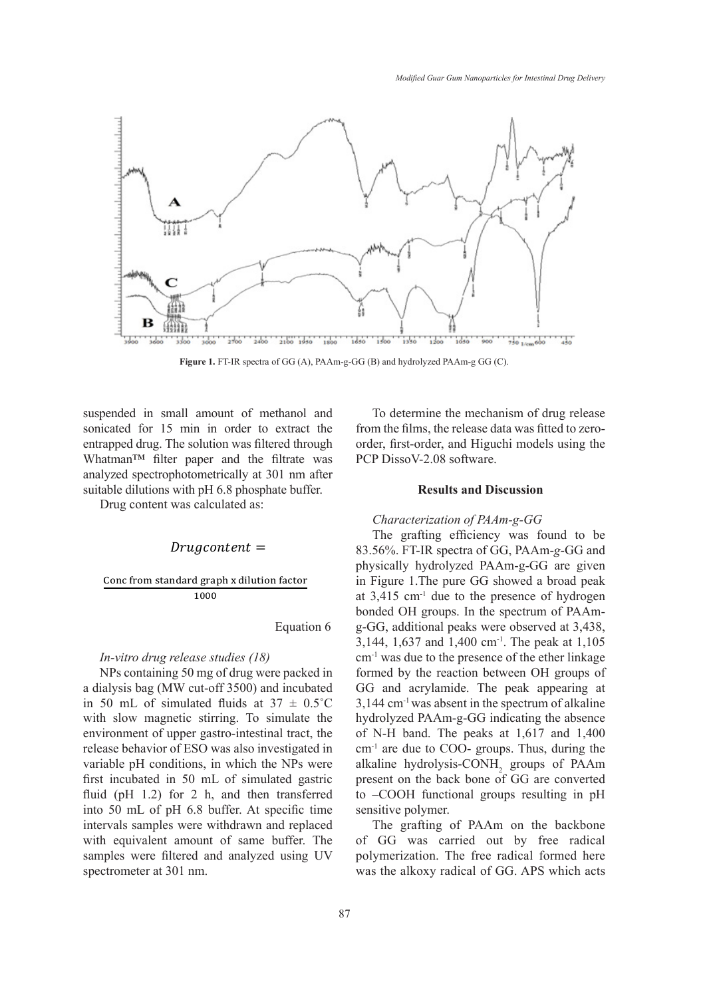

**Figure 1.** FT-IR spectra of GG (A), PAAm-g-GG (B) and hydrolyzed PAAm-g GG (C).

suspended in small amount of methanol and To determine the mechanism of drug release suspended in small amount of methanol and solution to determine the method sonicated for  $15$  min in order to extract the from the films, the release entrapped drug. The solution was filtered through order, first-order, and Higuchi models using the  $M$ <sup>15</sup> min in order to extract the entriest through  $M$  min in  $M$ . Whatman™ filter paper and the filtrate was  $PCP$  Disso V-2.08 software analyzed spectrophotometrically at  $301 \text{ nm}$  after suitable dilutions with pH 6.8 phosphate buffer. Results and 1

Drug content was calculated as: Drug content was calculated as:

#### $Drugcontent =$

**Conc from standard graph x dilution factor** *doo* 

Equation 6

#### *In-vitro drug release studies (18)*

intervals samples were withdrawn and replaced The grafting of PA  $NPs$  containing 50 mg of drug were packed in formed by the reaction b in 50 mL of simulated fluids at  $37 \pm 0.5^{\circ}\text{C}$  3,144 cm<sup>-1</sup> was absent in the environment of upper gastro-intestinal tract, the of N-H band. The peak variable pH conditions, in which the NPs were alkaline hydrolysis-CON fluid (pH 1.2) for 2 h, and then transferred to  $-$ COOH functional g samples were intered at  $301 \text{ nm}$ . a dialysis bag (MW cut-off 3500) and incubated with slow magnetic stirring. To simulate the release behavior of ESO was also investigated in first incubated in 50 mL of simulated gastric into 50 mL of pH 6.8 buffer. At specific time with equivalent amount of same buffer. The samples were filtered and analyzed using UV

To determine the mechanism of drug release from the films, the release data was fitted to zeroorder, first-order, and Higuchi models using the PCP DissoV-2.08 software.

# **Results and Discussion**

# *Characterization of PAAm-g-GG*

83.56%. FT-IR spectra of GG, PAAm-*g*-GG and Equation 6  $\qquad g-GG$ , additional peaks were observed at 3,438, *In-vitro drug release studies* (18)  $cm^{-1}$  was due to the presence of the ether linkage a dialysis bag (MW cut-off 3500) and incubated GG and acrylamide. The peak appearing at  $\frac{1}{2}$ environment of upper gastro-intestinal tract, the of N-H band. The peaks at 1,617 and 1,400  $h_{\text{variable}}$  behavior 6.1250 mas also investigated in the architecture intervals specific. That, dating the variable pH conditions, in which the NPs were alkaline hydrolysis-CONH<sub>2</sub> groups of PAAm fluid (pH 1.2) for 2 h, and then transferred to  $-COOH$  functional groups resulting in pH  $\frac{1000}{1000}$  at 3,415 cm<sup>-1</sup> due to the presence of hydrogen The grafting efficiency was found to be physically hydrolyzed PAAm-g-GG are given in Figure 1.The pure GG showed a broad peak bonded OH groups. In the spectrum of PAAm-3,144, 1,637 and 1,400 cm-1. The peak at 1,105 formed by the reaction between OH groups of 3,144 cm-1 was absent in the spectrum of alkaline hydrolyzed PAAm-g-GG indicating the absence cm-1 are due to COO- groups. Thus, during the present on the back bone of GG are converted sensitive polymer.

The meter at 301 nm. The grafting of PAAm on the backbone of GG was carried out by free radical polymerization. The free radical formed here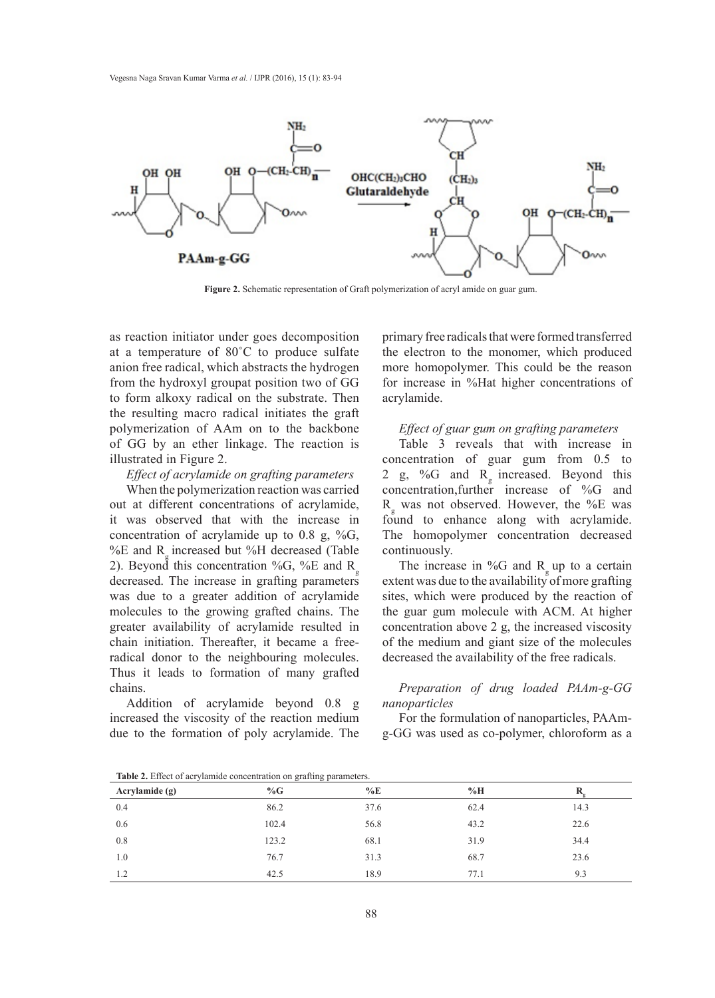

**Figure 2.** Schematic representation of Graft polymerization of acryl amide on guar gum.

as reaction initiator under goes decomposition at a temperature of 80˚C to produce sulfate anion free radical, which abstracts the hydrogen from the hydroxyl groupat position two of GG to form alkoxy radical on the substrate. Then the resulting macro radical initiates the graft polymerization of AAm on to the backbone of GG by an ether linkage. The reaction is illustrated in Figure 2.

*Effect of acrylamide on grafting parameters*

When the polymerization reaction was carried out at different concentrations of acrylamide, it was observed that with the increase in concentration of acrylamide up to 0.8 g, %G, %E and R<sub>g</sub> increased but %H decreased (Table 2). Beyond this concentration %G, %E and  $R_{g}$ decreased. The increase in grafting parameters was due to a greater addition of acrylamide molecules to the growing grafted chains. The greater availability of acrylamide resulted in chain initiation. Thereafter, it became a freeradical donor to the neighbouring molecules. Thus it leads to formation of many grafted chains.

Addition of acrylamide beyond 0.8 g increased the viscosity of the reaction medium due to the formation of poly acrylamide. The primary free radicals that were formed transferred the electron to the monomer, which produced more homopolymer. This could be the reason for increase in %Hat higher concentrations of acrylamide.

## *Effect of guar gum on grafting parameters*

Table 3 reveals that with increase in concentration of guar gum from 0.5 to 2 g, %G and  $R_{g}$  increased. Beyond this concentration,further increase of %G and Rg was not observed. However, the %E was found to enhance along with acrylamide. The homopolymer concentration decreased continuously.

The increase in %G and  $R_{g}$  up to a certain extent was due to the availability of more grafting sites, which were produced by the reaction of the guar gum molecule with ACM. At higher concentration above 2 g, the increased viscosity of the medium and giant size of the molecules decreased the availability of the free radicals.

*Preparation of drug loaded PAAm-g-GG nanoparticles*

For the formulation of nanoparticles, PAAmg-GG was used as co-polymer, chloroform as a

| Acrylamide $(g)$ | %G    | $\%E$ | %H   |      |
|------------------|-------|-------|------|------|
| 0.4              | 86.2  | 37.6  | 62.4 | 14.3 |
| 0.6              | 102.4 | 56.8  | 43.2 | 22.6 |
| 0.8              | 123.2 | 68.1  | 31.9 | 34.4 |
| 1.0              | 76.7  | 31.3  | 68.7 | 23.6 |
| 1.2              | 42.5  | 18.9  | 77.1 | 9.3  |

**Table 2.** Effect of acrylamide concentration on grafting parameters.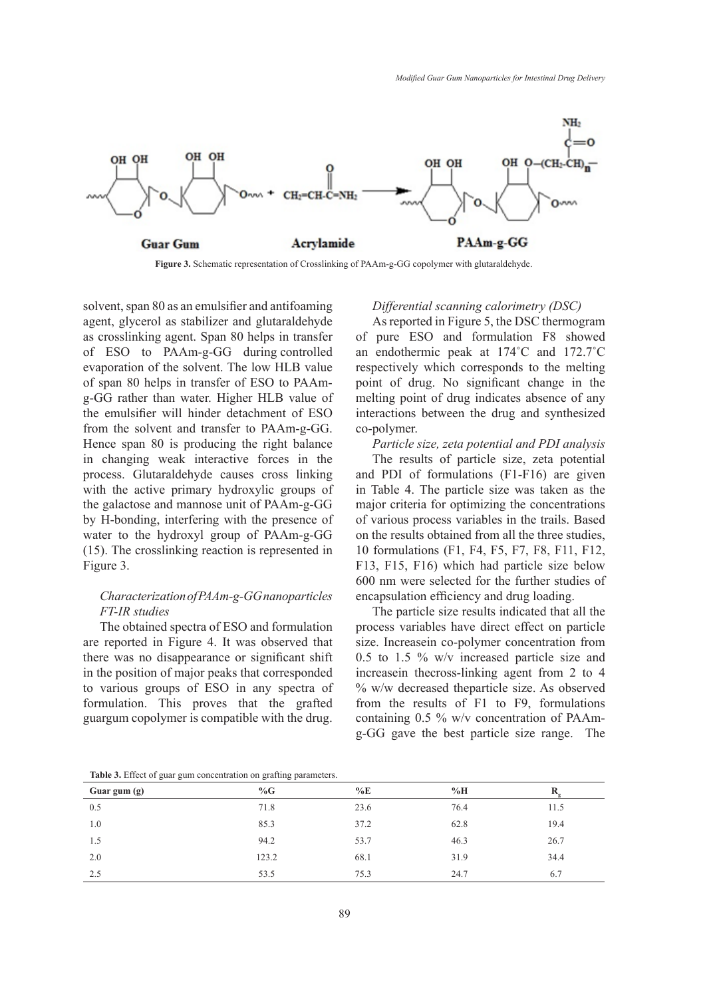

**Figure 3.** Schematic representation of Crosslinking of PAAm-g-GG copolymer with glutaraldehyde.

solvent, span 80 as an emulsifier and antifoaming agent, glycerol as stabilizer and glutaraldehyde as crosslinking agent. Span 80 helps in transfer of ESO to PAAm-g-GG during controlled evaporation of the solvent. The low HLB value of span 80 helps in transfer of ESO to PAAmg-GG rather than water. Higher HLB value of the emulsifier will hinder detachment of ESO from the solvent and transfer to PAAm-g-GG. Hence span 80 is producing the right balance in changing weak interactive forces in the process. Glutaraldehyde causes cross linking with the active primary hydroxylic groups of the galactose and mannose unit of PAAm-g-GG by H-bonding, interfering with the presence of water to the hydroxyl group of PAAm-g-GG (15). The crosslinking reaction is represented in Figure 3.

# *Characterization of PAAm-g-GG nanoparticles FT-IR studies*

The obtained spectra of ESO and formulation are reported in Figure 4. It was observed that there was no disappearance or significant shift in the position of major peaks that corresponded to various groups of ESO in any spectra of formulation. This proves that the grafted guargum copolymer is compatible with the drug.

## *Differential scanning calorimetry (DSC)*

As reported in Figure 5, the DSC thermogram of pure ESO and formulation F8 showed an endothermic peak at 174˚C and 172.7˚C respectively which corresponds to the melting point of drug. No significant change in the melting point of drug indicates absence of any interactions between the drug and synthesized co-polymer.

*Particle size, zeta potential and PDI analysis* The results of particle size, zeta potential and PDI of formulations (F1-F16) are given in Table 4. The particle size was taken as the major criteria for optimizing the concentrations of various process variables in the trails. Based on the results obtained from all the three studies, 10 formulations (F1, F4, F5, F7, F8, F11, F12, F13, F15, F16) which had particle size below 600 nm were selected for the further studies of encapsulation efficiency and drug loading.

The particle size results indicated that all the process variables have direct effect on particle size. Increasein co-polymer concentration from 0.5 to 1.5 % w/v increased particle size and increasein thecross-linking agent from 2 to 4 % w/w decreased theparticle size. As observed from the results of F1 to F9, formulations containing 0.5 % w/v concentration of PAAmg-GG gave the best particle size range. The

**Table 3.** Effect of guar gum concentration on grafting parameters.

|              | --    |       |      |      |
|--------------|-------|-------|------|------|
| Guar gum (g) | %G    | $\%E$ | %H   |      |
| 0.5          | 71.8  | 23.6  | 76.4 | 11.5 |
| 1.0          | 85.3  | 37.2  | 62.8 | 19.4 |
| 1.5          | 94.2  | 53.7  | 46.3 | 26.7 |
| 2.0          | 123.2 | 68.1  | 31.9 | 34.4 |
| 2.5          | 53.5  | 75.3  | 24.7 | 6.7  |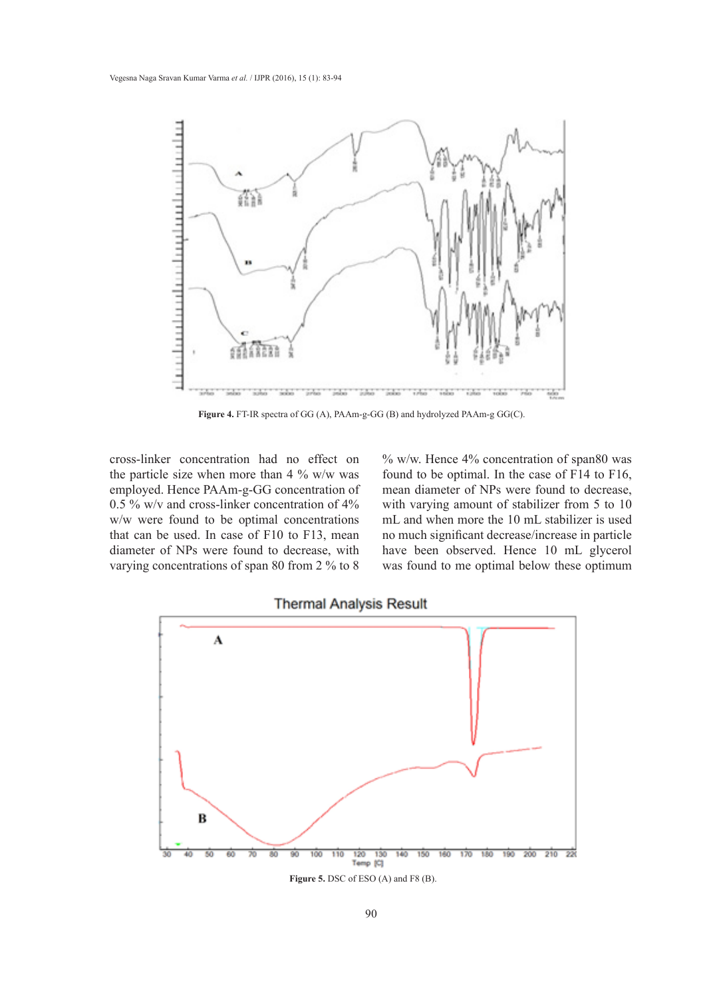

**Figure 4.** FT-IR spectra of GG (A), PAAm-g-GG (B) and hydrolyzed PAAm-g GG(C).

cross-linker concentration had no effect on the particle size when more than  $4\%$  w/w was employed. Hence PAAm-g-GG concentration of 0.5 % w/v and cross-linker concentration of 4% w/w were found to be optimal concentrations that can be used. In case of F10 to F13, mean diameter of NPs were found to decrease, with varying concentrations of span 80 from 2 % to 8

% w/w. Hence 4% concentration of span80 was found to be optimal. In the case of F14 to F16, mean diameter of NPs were found to decrease, with varying amount of stabilizer from 5 to 10 mL and when more the 10 mL stabilizer is used no much significant decrease/increase in particle have been observed. Hence 10 mL glycerol was found to me optimal below these optimum

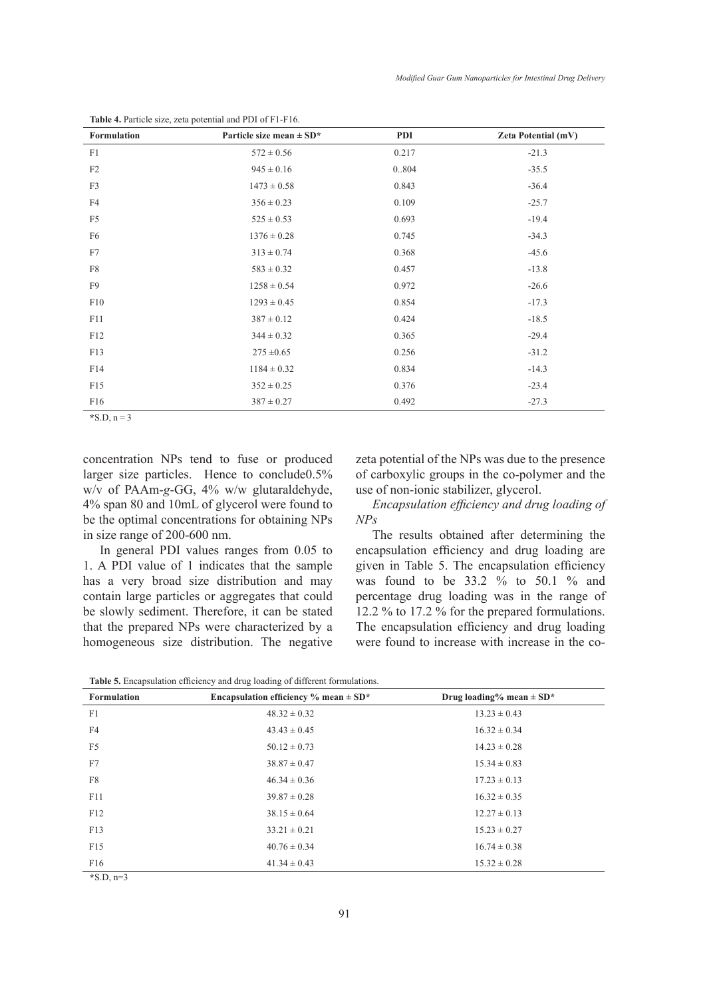| Formulation     | Particle size mean $\pm$ SD* | <b>PDI</b> | <b>Zeta Potential (mV)</b> |
|-----------------|------------------------------|------------|----------------------------|
| F1              | $572 \pm 0.56$               | 0.217      | $-21.3$                    |
| F2              | $945 \pm 0.16$               | 0.804      | $-35.5$                    |
| F3              | $1473 \pm 0.58$              | 0.843      | $-36.4$                    |
| F4              | $356 \pm 0.23$               | 0.109      | $-25.7$                    |
| F <sub>5</sub>  | $525 \pm 0.53$               | 0.693      | $-19.4$                    |
| F <sub>6</sub>  | $1376 \pm 0.28$              | 0.745      | $-34.3$                    |
| F7              | $313 \pm 0.74$               | 0.368      | $-45.6$                    |
| ${\rm F}8$      | $583 \pm 0.32$               | 0.457      | $-13.8$                    |
| F9              | $1258 \pm 0.54$              | 0.972      | $-26.6$                    |
| F10             | $1293 \pm 0.45$              | 0.854      | $-17.3$                    |
| F11             | $387 \pm 0.12$               | 0.424      | $-18.5$                    |
| F12             | $344 \pm 0.32$               | 0.365      | $-29.4$                    |
| F13             | $275 \pm 0.65$               | 0.256      | $-31.2$                    |
| F14             | $1184 \pm 0.32$              | 0.834      | $-14.3$                    |
| F15             | $352 \pm 0.25$               | 0.376      | $-23.4$                    |
| F <sub>16</sub> | $387 \pm 0.27$               | 0.492      | $-27.3$                    |

**Table 4.** Particle size, zeta potential and PDI of F1-F16.

 $*S.D, n = 3$ 

concentration NPs tend to fuse or produced larger size particles. Hence to conclude0.5% w/v of PAAm-*g*-GG, 4% w/w glutaraldehyde, 4% span 80 and 10mL of glycerol were found to be the optimal concentrations for obtaining NPs in size range of 200-600 nm.

In general PDI values ranges from 0.05 to 1. A PDI value of 1 indicates that the sample has a very broad size distribution and may contain large particles or aggregates that could be slowly sediment. Therefore, it can be stated that the prepared NPs were characterized by a homogeneous size distribution. The negative zeta potential of the NPs was due to the presence of carboxylic groups in the co-polymer and the use of non-ionic stabilizer, glycerol.

*Encapsulation efficiency and drug loading of NPs*

The results obtained after determining the encapsulation efficiency and drug loading are given in Table 5. The encapsulation efficiency was found to be 33.2 % to 50.1 % and percentage drug loading was in the range of 12.2 % to 17.2 % for the prepared formulations. The encapsulation efficiency and drug loading were found to increase with increase in the co-

**Table 5.** Encapsulation efficiency and drug loading of different formulations.

| <b>Formulation</b>             | Encapsulation efficiency $\%$ mean $\pm$ SD* | Drug loading% mean $\pm$ SD* |
|--------------------------------|----------------------------------------------|------------------------------|
| F1                             | $48.32 \pm 0.32$                             | $13.23 \pm 0.43$             |
| F <sub>4</sub>                 | $43.43 \pm 0.45$                             | $16.32 \pm 0.34$             |
| F <sub>5</sub>                 | $50.12 \pm 0.73$                             | $14.23 \pm 0.28$             |
| F7                             | $38.87 \pm 0.47$                             | $15.34 \pm 0.83$             |
| F8                             | $46.34 \pm 0.36$                             | $17.23 \pm 0.13$             |
| F11                            | $39.87 \pm 0.28$                             | $16.32 \pm 0.35$             |
| F12                            | $38.15 \pm 0.64$                             | $12.27 \pm 0.13$             |
| F13                            | $33.21 \pm 0.21$                             | $15.23 \pm 0.27$             |
| F15                            | $40.76 \pm 0.34$                             | $16.74 \pm 0.38$             |
| F16                            | $41.34 \pm 0.43$                             | $15.32 \pm 0.28$             |
| $\sim$ $\sim$ $\sim$<br>$\sim$ |                                              |                              |

**\***S.D, n=3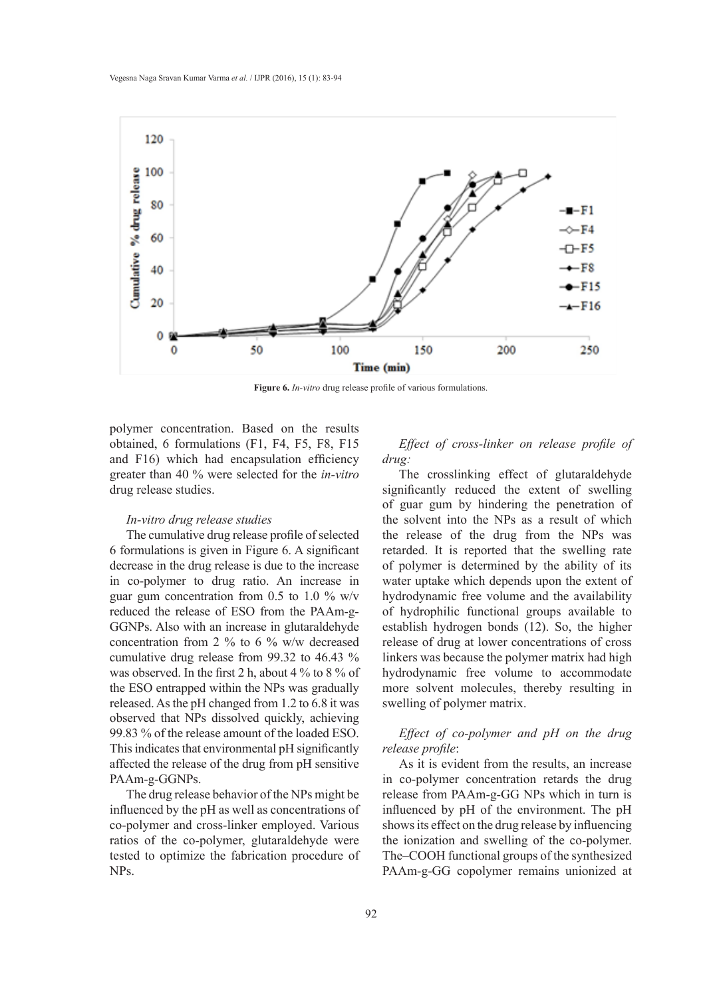

**Figure 6.** *In-vitro* drug release profile of various formulations.

polymer concentration. Based on the results obtained, 6 formulations (F1, F4, F5, F8, F15 and F16) which had encapsulation efficiency greater than 40 % were selected for the *in-vitro* drug release studies.

#### *In-vitro drug release studies*

The cumulative drug release profile of selected 6 formulations is given in Figure 6. A significant decrease in the drug release is due to the increase in co-polymer to drug ratio. An increase in guar gum concentration from 0.5 to 1.0 % w/v reduced the release of ESO from the PAAm-g-GGNPs. Also with an increase in glutaraldehyde concentration from 2 % to 6 % w/w decreased cumulative drug release from 99.32 to 46.43 % was observed. In the first 2 h, about 4 % to 8 % of the ESO entrapped within the NPs was gradually released. As the pH changed from 1.2 to 6.8 it was observed that NPs dissolved quickly, achieving 99.83 % of the release amount of the loaded ESO. This indicates that environmental pH significantly affected the release of the drug from pH sensitive PAAm-g-GGNPs.

The drug release behavior of the NPs might be influenced by the pH as well as concentrations of co-polymer and cross-linker employed. Various ratios of the co-polymer, glutaraldehyde were tested to optimize the fabrication procedure of NPs.

*Effect of cross-linker on release profile of drug:*

The crosslinking effect of glutaraldehyde significantly reduced the extent of swelling of guar gum by hindering the penetration of the solvent into the NPs as a result of which the release of the drug from the NPs was retarded. It is reported that the swelling rate of polymer is determined by the ability of its water uptake which depends upon the extent of hydrodynamic free volume and the availability of hydrophilic functional groups available to establish hydrogen bonds (12). So, the higher release of drug at lower concentrations of cross linkers was because the polymer matrix had high hydrodynamic free volume to accommodate more solvent molecules, thereby resulting in swelling of polymer matrix.

# *Effect of co-polymer and pH on the drug release profile*:

As it is evident from the results, an increase in co-polymer concentration retards the drug release from PAAm-g-GG NPs which in turn is influenced by pH of the environment. The pH shows its effect on the drug release by influencing the ionization and swelling of the co-polymer. The–COOH functional groups of the synthesized PAAm-g-GG copolymer remains unionized at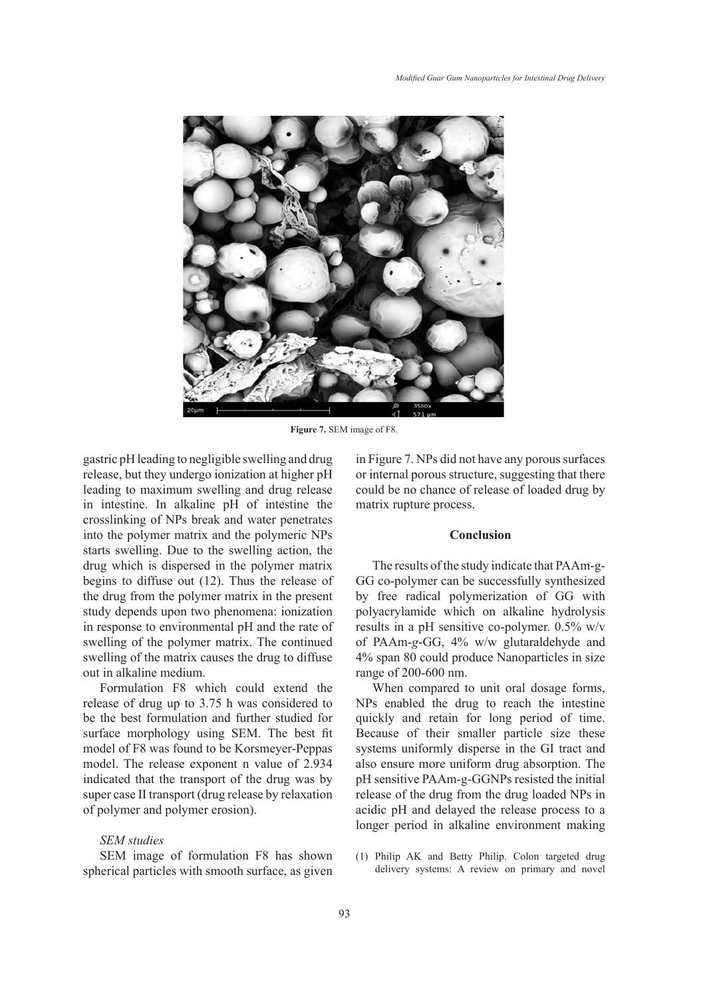

**Figure 7.** SEM image of F8.

gastric pH leading to negligible swelling and drug release, but they undergo ionization at higher pH leading to maximum swelling and drug release in intestine. In alkaline pH of intestine the crosslinking of NPs break and water penetrates into the polymer matrix and the polymeric NPs starts swelling. Due to the swelling action, the drug which is dispersed in the polymer matrix begins to diffuse out (12). Thus the release of the drug from the polymer matrix in the present study depends upon two phenomena: ionization in response to environmental pH and the rate of swelling of the polymer matrix. The continued swelling of the matrix causes the drug to diffuse out in alkaline medium.

Formulation F8 which could extend the release of drug up to 3.75 h was considered to be the best formulation and further studied for surface morphology using SEM. The best fit model of F8 was found to be Korsmeyer-Peppas model. The release exponent n value of 2.934 indicated that the transport of the drug was by super case II transport (drug release by relaxation of polymer and polymer erosion).

#### *SEM studies*

SEM image of formulation F8 has shown spherical particles with smooth surface, as given in Figure 7. NPs did not have any porous surfaces or internal porous structure, suggesting that there could be no chance of release of loaded drug by matrix rupture process.

#### **Conclusion**

The results of the study indicate that PAAm-g-GG co-polymer can be successfully synthesized by free radical polymerization of GG with polyacrylamide which on alkaline hydrolysis results in a pH sensitive co-polymer. 0.5% w/v of PAAm-*g*-GG, 4% w/w glutaraldehyde and 4% span 80 could produce Nanoparticles in size range of 200-600 nm.

When compared to unit oral dosage forms, NPs enabled the drug to reach the intestine quickly and retain for long period of time. Because of their smaller particle size these systems uniformly disperse in the GI tract and also ensure more uniform drug absorption. The pH sensitive PAAm-g-GGNPs resisted the initial release of the drug from the drug loaded NPs in acidic pH and delayed the release process to a longer period in alkaline environment making

Philip AK and Betty Philip. Colon targeted drug (1)delivery systems: A review on primary and novel